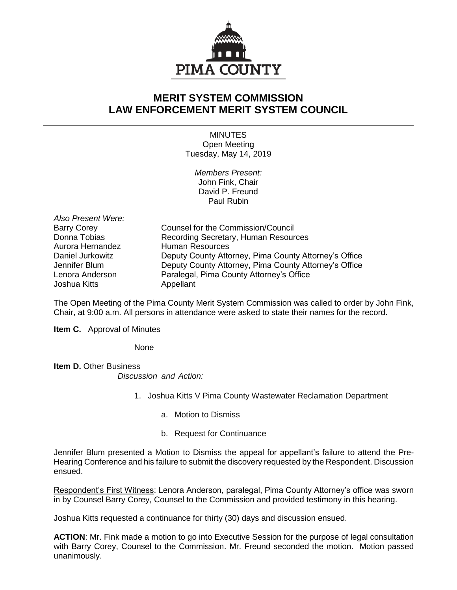

## **MERIT SYSTEM COMMISSION LAW ENFORCEMENT MERIT SYSTEM COUNCIL**

**MINUTES** Open Meeting Tuesday, May 14, 2019

*Members Present:* John Fink, Chair David P. Freund Paul Rubin

*Also Present Were:* Joshua Kitts **Appellant** 

Barry Corey Counsel for the Commission/Council Donna Tobias **Recording Secretary, Human Resources** Aurora Hernandez Human Resources Daniel Jurkowitz Deputy County Attorney, Pima County Attorney's Office Jennifer Blum Deputy County Attorney, Pima County Attorney's Office Lenora Anderson Paralegal, Pima County Attorney's Office

The Open Meeting of the Pima County Merit System Commission was called to order by John Fink, Chair, at 9:00 a.m. All persons in attendance were asked to state their names for the record.

**Item C.** Approval of Minutes

None

**Item D.** Other Business *Discussion and Action:*

- 1. Joshua Kitts V Pima County Wastewater Reclamation Department
	- a. Motion to Dismiss
	- b. Request for Continuance

Jennifer Blum presented a Motion to Dismiss the appeal for appellant's failure to attend the Pre-Hearing Conference and his failure to submit the discovery requested by the Respondent. Discussion ensued.

Respondent's First Witness: Lenora Anderson, paralegal, Pima County Attorney's office was sworn in by Counsel Barry Corey, Counsel to the Commission and provided testimony in this hearing.

Joshua Kitts requested a continuance for thirty (30) days and discussion ensued.

**ACTION**: Mr. Fink made a motion to go into Executive Session for the purpose of legal consultation with Barry Corey, Counsel to the Commission. Mr. Freund seconded the motion. Motion passed unanimously.